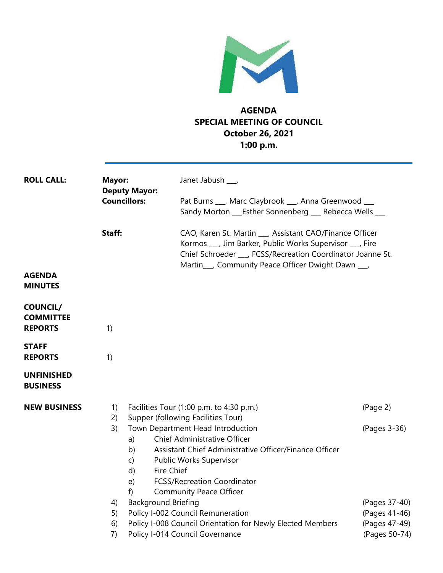

## **AGENDA SPECIAL MEETING OF COUNCIL October 26, 2021 1:00 p.m.**

| <b>ROLL CALL:</b>                                     | Mayor:<br><b>Deputy Mayor:</b>                                                      | Janet Jabush ___                                                                                                                                                                                                                                                                                                                                                                                                                                                                                   |                                                                                              |
|-------------------------------------------------------|-------------------------------------------------------------------------------------|----------------------------------------------------------------------------------------------------------------------------------------------------------------------------------------------------------------------------------------------------------------------------------------------------------------------------------------------------------------------------------------------------------------------------------------------------------------------------------------------------|----------------------------------------------------------------------------------------------|
|                                                       | <b>Councillors:</b>                                                                 | Pat Burns ___, Marc Claybrook ___, Anna Greenwood __<br>Sandy Morton ___Esther Sonnenberg ___ Rebecca Wells ___                                                                                                                                                                                                                                                                                                                                                                                    |                                                                                              |
|                                                       | Staff:                                                                              | CAO, Karen St. Martin __ , Assistant CAO/Finance Officer<br>Kormos ___, Jim Barker, Public Works Supervisor ___, Fire<br>Chief Schroeder ___, FCSS/Recreation Coordinator Joanne St.                                                                                                                                                                                                                                                                                                               |                                                                                              |
| <b>AGENDA</b><br><b>MINUTES</b>                       |                                                                                     | Martin___, Community Peace Officer Dwight Dawn ___,                                                                                                                                                                                                                                                                                                                                                                                                                                                |                                                                                              |
| <b>COUNCIL/</b><br><b>COMMITTEE</b><br><b>REPORTS</b> | 1)                                                                                  |                                                                                                                                                                                                                                                                                                                                                                                                                                                                                                    |                                                                                              |
| <b>STAFF</b><br><b>REPORTS</b>                        | 1)                                                                                  |                                                                                                                                                                                                                                                                                                                                                                                                                                                                                                    |                                                                                              |
| <b>UNFINISHED</b><br><b>BUSINESS</b>                  |                                                                                     |                                                                                                                                                                                                                                                                                                                                                                                                                                                                                                    |                                                                                              |
| <b>NEW BUSINESS</b>                                   | 1)<br>2)<br>3)<br>a)<br>b)<br>$\mathsf{C}$<br>d)<br>e)<br>f<br>4)<br>5)<br>6)<br>7) | Facilities Tour (1:00 p.m. to 4:30 p.m.)<br>Supper (following Facilities Tour)<br>Town Department Head Introduction<br>Chief Administrative Officer<br>Assistant Chief Administrative Officer/Finance Officer<br>Public Works Supervisor<br>Fire Chief<br><b>FCSS/Recreation Coordinator</b><br><b>Community Peace Officer</b><br><b>Background Briefing</b><br>Policy I-002 Council Remuneration<br>Policy I-008 Council Orientation for Newly Elected Members<br>Policy I-014 Council Governance | (Page 2)<br>(Pages 3-36)<br>(Pages 37-40)<br>(Pages 41-46)<br>(Pages 47-49)<br>(Pages 50-74) |